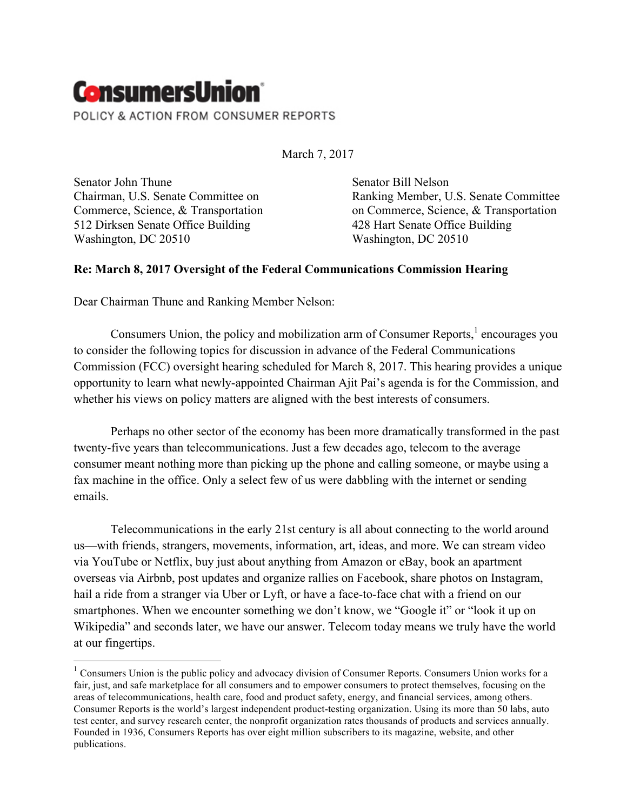

March 7, 2017

Senator John Thune Chairman, U.S. Senate Committee on Commerce, Science, & Transportation 512 Dirksen Senate Office Building Washington, DC 20510

Senator Bill Nelson Ranking Member, U.S. Senate Committee on Commerce, Science, & Transportation 428 Hart Senate Office Building Washington, DC 20510

### **Re: March 8, 2017 Oversight of the Federal Communications Commission Hearing**

Dear Chairman Thune and Ranking Member Nelson:

Consumers Union, the policy and mobilization arm of Consumer Reports,  $\frac{1}{1}$  encourages you to consider the following topics for discussion in advance of the Federal Communications Commission (FCC) oversight hearing scheduled for March 8, 2017. This hearing provides a unique opportunity to learn what newly-appointed Chairman Ajit Pai's agenda is for the Commission, and whether his views on policy matters are aligned with the best interests of consumers.

Perhaps no other sector of the economy has been more dramatically transformed in the past twenty-five years than telecommunications. Just a few decades ago, telecom to the average consumer meant nothing more than picking up the phone and calling someone, or maybe using a fax machine in the office. Only a select few of us were dabbling with the internet or sending emails.

Telecommunications in the early 21st century is all about connecting to the world around us—with friends, strangers, movements, information, art, ideas, and more. We can stream video via YouTube or Netflix, buy just about anything from Amazon or eBay, book an apartment overseas via Airbnb, post updates and organize rallies on Facebook, share photos on Instagram, hail a ride from a stranger via Uber or Lyft, or have a face-to-face chat with a friend on our smartphones. When we encounter something we don't know, we "Google it" or "look it up on Wikipedia" and seconds later, we have our answer. Telecom today means we truly have the world at our fingertips.

<sup>&</sup>lt;sup>1</sup> Consumers Union is the public policy and advocacy division of Consumer Reports. Consumers Union works for a fair, just, and safe marketplace for all consumers and to empower consumers to protect themselves, focusing on the areas of telecommunications, health care, food and product safety, energy, and financial services, among others. Consumer Reports is the world's largest independent product-testing organization. Using its more than 50 labs, auto test center, and survey research center, the nonprofit organization rates thousands of products and services annually. Founded in 1936, Consumers Reports has over eight million subscribers to its magazine, website, and other publications.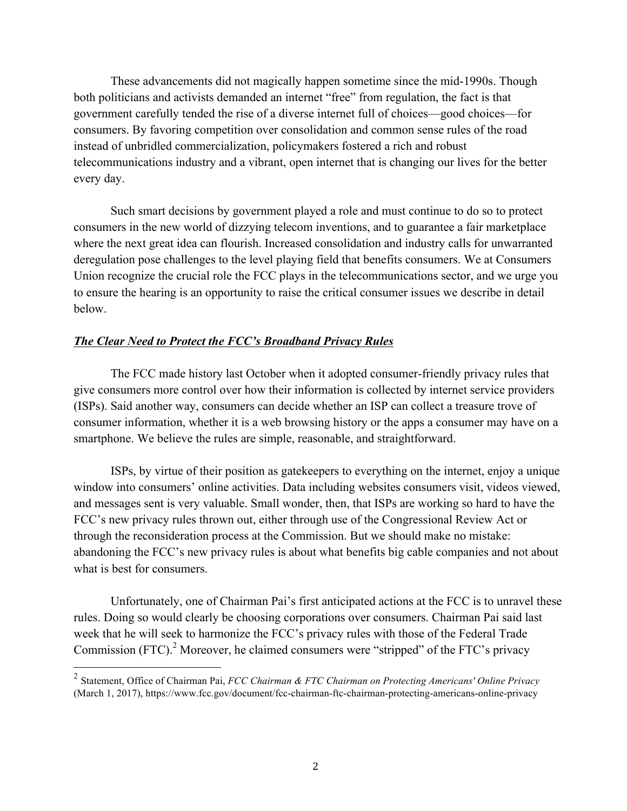These advancements did not magically happen sometime since the mid-1990s. Though both politicians and activists demanded an internet "free" from regulation, the fact is that government carefully tended the rise of a diverse internet full of choices—good choices—for consumers. By favoring competition over consolidation and common sense rules of the road instead of unbridled commercialization, policymakers fostered a rich and robust telecommunications industry and a vibrant, open internet that is changing our lives for the better every day.

Such smart decisions by government played a role and must continue to do so to protect consumers in the new world of dizzying telecom inventions, and to guarantee a fair marketplace where the next great idea can flourish. Increased consolidation and industry calls for unwarranted deregulation pose challenges to the level playing field that benefits consumers. We at Consumers Union recognize the crucial role the FCC plays in the telecommunications sector, and we urge you to ensure the hearing is an opportunity to raise the critical consumer issues we describe in detail below.

### *The Clear Need to Protect the FCC's Broadband Privacy Rules*

The FCC made history last October when it adopted consumer-friendly privacy rules that give consumers more control over how their information is collected by internet service providers (ISPs). Said another way, consumers can decide whether an ISP can collect a treasure trove of consumer information, whether it is a web browsing history or the apps a consumer may have on a smartphone. We believe the rules are simple, reasonable, and straightforward.

ISPs, by virtue of their position as gatekeepers to everything on the internet, enjoy a unique window into consumers' online activities. Data including websites consumers visit, videos viewed, and messages sent is very valuable. Small wonder, then, that ISPs are working so hard to have the FCC's new privacy rules thrown out, either through use of the Congressional Review Act or through the reconsideration process at the Commission. But we should make no mistake: abandoning the FCC's new privacy rules is about what benefits big cable companies and not about what is best for consumers.

 Unfortunately, one of Chairman Pai's first anticipated actions at the FCC is to unravel these rules. Doing so would clearly be choosing corporations over consumers. Chairman Pai said last week that he will seek to harmonize the FCC's privacy rules with those of the Federal Trade Commission (FTC).<sup>2</sup> Moreover, he claimed consumers were "stripped" of the FTC's privacy

 <sup>2</sup> Statement, Office of Chairman Pai, *FCC Chairman & FTC Chairman on Protecting Americans' Online Privacy*  (March 1, 2017), https://www.fcc.gov/document/fcc-chairman-ftc-chairman-protecting-americans-online-privacy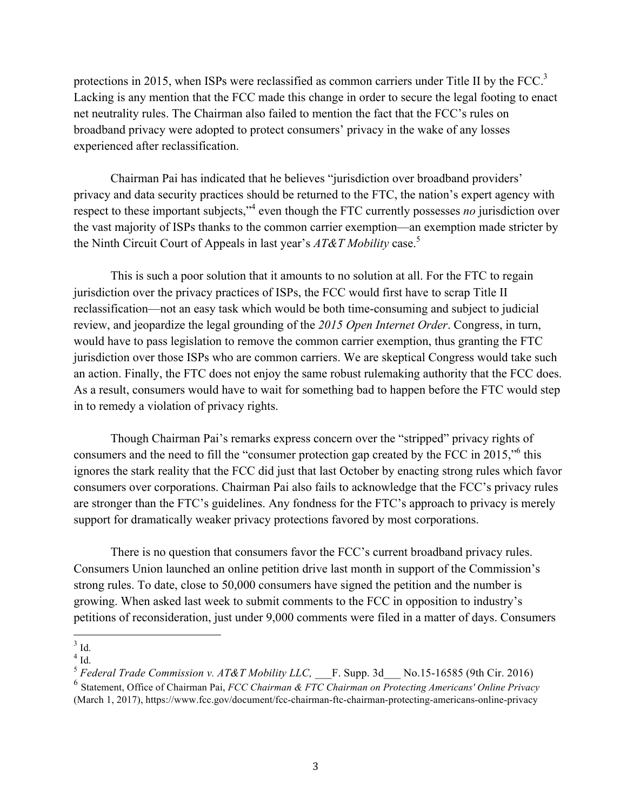protections in 2015, when ISPs were reclassified as common carriers under Title II by the FCC.<sup>3</sup> Lacking is any mention that the FCC made this change in order to secure the legal footing to enact net neutrality rules. The Chairman also failed to mention the fact that the FCC's rules on broadband privacy were adopted to protect consumers' privacy in the wake of any losses experienced after reclassification.

Chairman Pai has indicated that he believes "jurisdiction over broadband providers' privacy and data security practices should be returned to the FTC, the nation's expert agency with respect to these important subjects,<sup>34</sup> even though the FTC currently possesses *no* jurisdiction over the vast majority of ISPs thanks to the common carrier exemption—an exemption made stricter by the Ninth Circuit Court of Appeals in last year's *AT&T Mobility* case.5

This is such a poor solution that it amounts to no solution at all. For the FTC to regain jurisdiction over the privacy practices of ISPs, the FCC would first have to scrap Title II reclassification—not an easy task which would be both time-consuming and subject to judicial review, and jeopardize the legal grounding of the *2015 Open Internet Order*. Congress, in turn, would have to pass legislation to remove the common carrier exemption, thus granting the FTC jurisdiction over those ISPs who are common carriers. We are skeptical Congress would take such an action. Finally, the FTC does not enjoy the same robust rulemaking authority that the FCC does. As a result, consumers would have to wait for something bad to happen before the FTC would step in to remedy a violation of privacy rights.

Though Chairman Pai's remarks express concern over the "stripped" privacy rights of consumers and the need to fill the "consumer protection gap created by the FCC in 2015,"6 this ignores the stark reality that the FCC did just that last October by enacting strong rules which favor consumers over corporations. Chairman Pai also fails to acknowledge that the FCC's privacy rules are stronger than the FTC's guidelines. Any fondness for the FTC's approach to privacy is merely support for dramatically weaker privacy protections favored by most corporations.

There is no question that consumers favor the FCC's current broadband privacy rules. Consumers Union launched an online petition drive last month in support of the Commission's strong rules. To date, close to 50,000 consumers have signed the petition and the number is growing. When asked last week to submit comments to the FCC in opposition to industry's petitions of reconsideration, just under 9,000 comments were filed in a matter of days. Consumers

  $3$  Id.

 $4$  Id.

 $5$  *Federal Trade Commission v. AT&T Mobility LLC*, F. Supp. 3d No.15-16585 (9th Cir. 2016)

<sup>6</sup> Statement, Office of Chairman Pai, *FCC Chairman & FTC Chairman on Protecting Americans' Online Privacy*  (March 1, 2017), https://www.fcc.gov/document/fcc-chairman-ftc-chairman-protecting-americans-online-privacy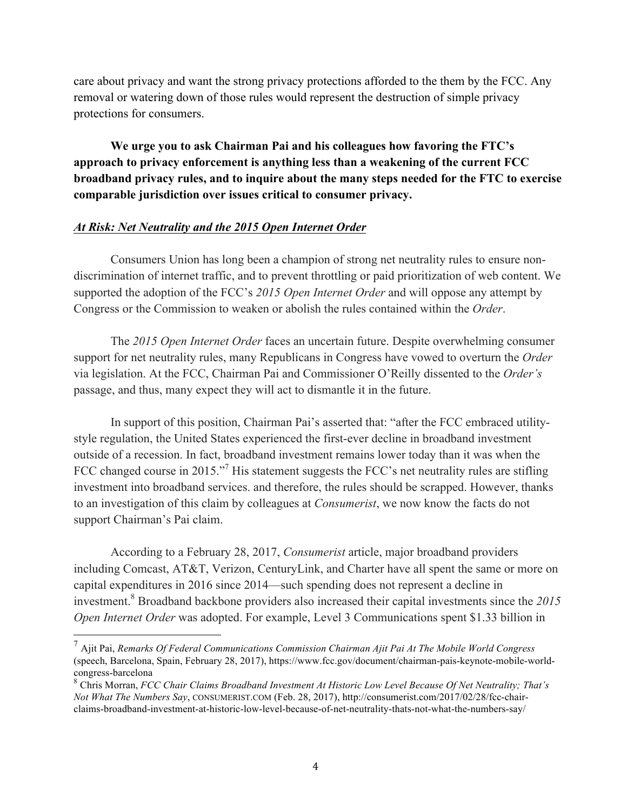care about privacy and want the strong privacy protections afforded to the them by the FCC. Any removal or watering down of those rules would represent the destruction of simple privacy protections for consumers.

**We urge you to ask Chairman Pai and his colleagues how favoring the FTC's approach to privacy enforcement is anything less than a weakening of the current FCC broadband privacy rules, and to inquire about the many steps needed for the FTC to exercise comparable jurisdiction over issues critical to consumer privacy.**

#### *At Risk: Net Neutrality and the 2015 Open Internet Order*

Consumers Union has long been a champion of strong net neutrality rules to ensure nondiscrimination of internet traffic, and to prevent throttling or paid prioritization of web content. We supported the adoption of the FCC's *2015 Open Internet Order* and will oppose any attempt by Congress or the Commission to weaken or abolish the rules contained within the *Order*.

The *2015 Open Internet Order* faces an uncertain future. Despite overwhelming consumer support for net neutrality rules, many Republicans in Congress have vowed to overturn the *Order* via legislation. At the FCC, Chairman Pai and Commissioner O'Reilly dissented to the *Order's*  passage, and thus, many expect they will act to dismantle it in the future.

In support of this position, Chairman Pai's asserted that: "after the FCC embraced utilitystyle regulation, the United States experienced the first-ever decline in broadband investment outside of a recession. In fact, broadband investment remains lower today than it was when the FCC changed course in 2015."<sup>7</sup> His statement suggests the FCC's net neutrality rules are stifling investment into broadband services. and therefore, the rules should be scrapped. However, thanks to an investigation of this claim by colleagues at *Consumerist*, we now know the facts do not support Chairman's Pai claim.

According to a February 28, 2017, *Consumerist* article, major broadband providers including Comcast, AT&T, Verizon, CenturyLink, and Charter have all spent the same or more on capital expenditures in 2016 since 2014—such spending does not represent a decline in investment.<sup>8</sup> Broadband backbone providers also increased their capital investments since the *2015 Open Internet Order* was adopted. For example, Level 3 Communications spent \$1.33 billion in

 <sup>7</sup> Ajit Pai, *Remarks Of Federal Communications Commission Chairman Ajit Pai At The Mobile World Congress* (speech, Barcelona, Spain, February 28, 2017), https://www.fcc.gov/document/chairman-pais-keynote-mobile-worldcongress-barcelona

<sup>8</sup> Chris Morran, *FCC Chair Claims Broadband Investment At Historic Low Level Because Of Net Neutrality; That's Not What The Numbers Say*, CONSUMERIST.COM (Feb. 28, 2017), http://consumerist.com/2017/02/28/fcc-chairclaims-broadband-investment-at-historic-low-level-because-of-net-neutrality-thats-not-what-the-numbers-say/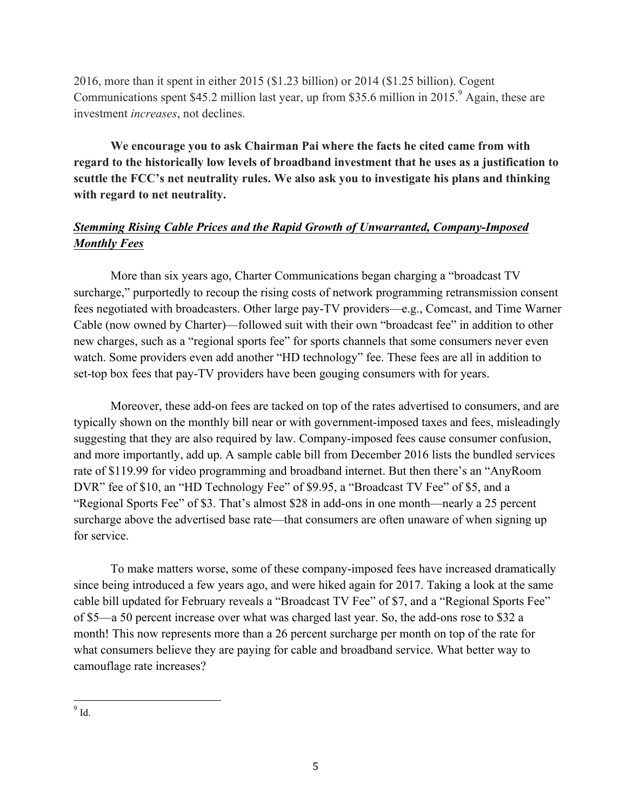2016, more than it spent in either 2015 (\$1.23 billion) or 2014 (\$1.25 billion). Cogent Communications spent \$45.2 million last year, up from \$35.6 million in 2015.<sup>9</sup> Again, these are investment *increases*, not declines.

**We encourage you to ask Chairman Pai where the facts he cited came from with regard to the historically low levels of broadband investment that he uses as a justification to scuttle the FCC's net neutrality rules. We also ask you to investigate his plans and thinking with regard to net neutrality.**

# *Stemming Rising Cable Prices and the Rapid Growth of Unwarranted, Company-Imposed Monthly Fees*

More than six years ago, Charter Communications began charging a "broadcast TV surcharge," purportedly to recoup the rising costs of network programming retransmission consent fees negotiated with broadcasters. Other large pay-TV providers—e.g., Comcast, and Time Warner Cable (now owned by Charter)—followed suit with their own "broadcast fee" in addition to other new charges, such as a "regional sports fee" for sports channels that some consumers never even watch. Some providers even add another "HD technology" fee. These fees are all in addition to set-top box fees that pay-TV providers have been gouging consumers with for years.

Moreover, these add-on fees are tacked on top of the rates advertised to consumers, and are typically shown on the monthly bill near or with government-imposed taxes and fees, misleadingly suggesting that they are also required by law. Company-imposed fees cause consumer confusion, and more importantly, add up. A sample cable bill from December 2016 lists the bundled services rate of \$119.99 for video programming and broadband internet. But then there's an "AnyRoom DVR" fee of \$10, an "HD Technology Fee" of \$9.95, a "Broadcast TV Fee" of \$5, and a "Regional Sports Fee" of \$3. That's almost \$28 in add-ons in one month—nearly a 25 percent surcharge above the advertised base rate—that consumers are often unaware of when signing up for service.

To make matters worse, some of these company-imposed fees have increased dramatically since being introduced a few years ago, and were hiked again for 2017. Taking a look at the same cable bill updated for February reveals a "Broadcast TV Fee" of \$7, and a "Regional Sports Fee" of \$5—a 50 percent increase over what was charged last year. So, the add-ons rose to \$32 a month! This now represents more than a 26 percent surcharge per month on top of the rate for what consumers believe they are paying for cable and broadband service. What better way to camouflage rate increases?

 $\frac{9}{9}$  Id.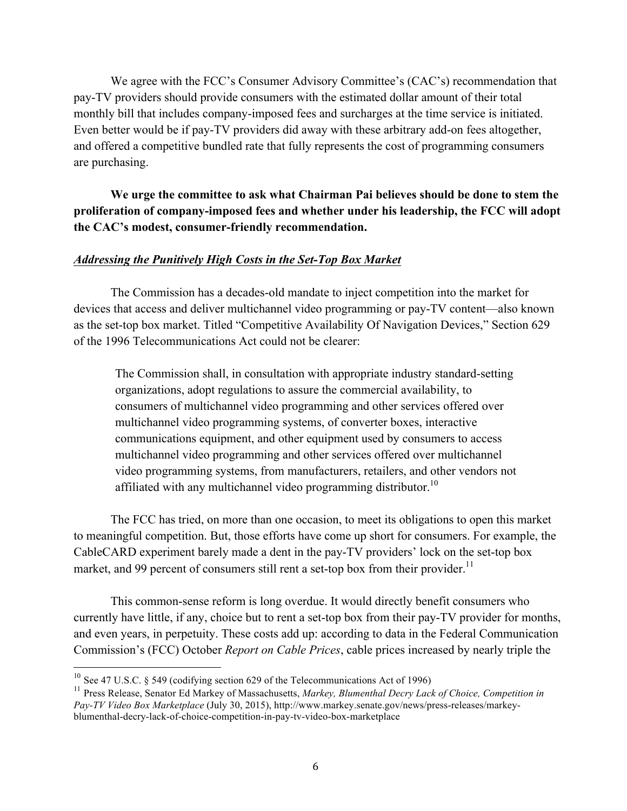We agree with the FCC's Consumer Advisory Committee's (CAC's) recommendation that pay-TV providers should provide consumers with the estimated dollar amount of their total monthly bill that includes company-imposed fees and surcharges at the time service is initiated. Even better would be if pay-TV providers did away with these arbitrary add-on fees altogether, and offered a competitive bundled rate that fully represents the cost of programming consumers are purchasing.

**We urge the committee to ask what Chairman Pai believes should be done to stem the proliferation of company-imposed fees and whether under his leadership, the FCC will adopt the CAC's modest, consumer-friendly recommendation.** 

### *Addressing the Punitively High Costs in the Set-Top Box Market*

The Commission has a decades-old mandate to inject competition into the market for devices that access and deliver multichannel video programming or pay-TV content—also known as the set-top box market. Titled "Competitive Availability Of Navigation Devices," Section 629 of the 1996 Telecommunications Act could not be clearer:

The Commission shall, in consultation with appropriate industry standard-setting organizations, adopt regulations to assure the commercial availability, to consumers of multichannel video programming and other services offered over multichannel video programming systems, of converter boxes, interactive communications equipment, and other equipment used by consumers to access multichannel video programming and other services offered over multichannel video programming systems, from manufacturers, retailers, and other vendors not affiliated with any multichannel video programming distributor.<sup>10</sup>

The FCC has tried, on more than one occasion, to meet its obligations to open this market to meaningful competition. But, those efforts have come up short for consumers. For example, the CableCARD experiment barely made a dent in the pay-TV providers' lock on the set-top box market, and 99 percent of consumers still rent a set-top box from their provider.<sup>11</sup>

This common-sense reform is long overdue. It would directly benefit consumers who currently have little, if any, choice but to rent a set-top box from their pay-TV provider for months, and even years, in perpetuity. These costs add up: according to data in the Federal Communication Commission's (FCC) October *Report on Cable Prices*, cable prices increased by nearly triple the

 

<sup>&</sup>lt;sup>10</sup> See 47 U.S.C. § 549 (codifying section 629 of the Telecommunications Act of 1996)

<sup>&</sup>lt;sup>11</sup> Press Release, Senator Ed Markey of Massachusetts, Markey, Blumenthal Decry Lack of Choice, Competition in *Pay-TV Video Box Marketplace* (July 30, 2015), http://www.markey.senate.gov/news/press-releases/markeyblumenthal-decry-lack-of-choice-competition-in-pay-tv-video-box-marketplace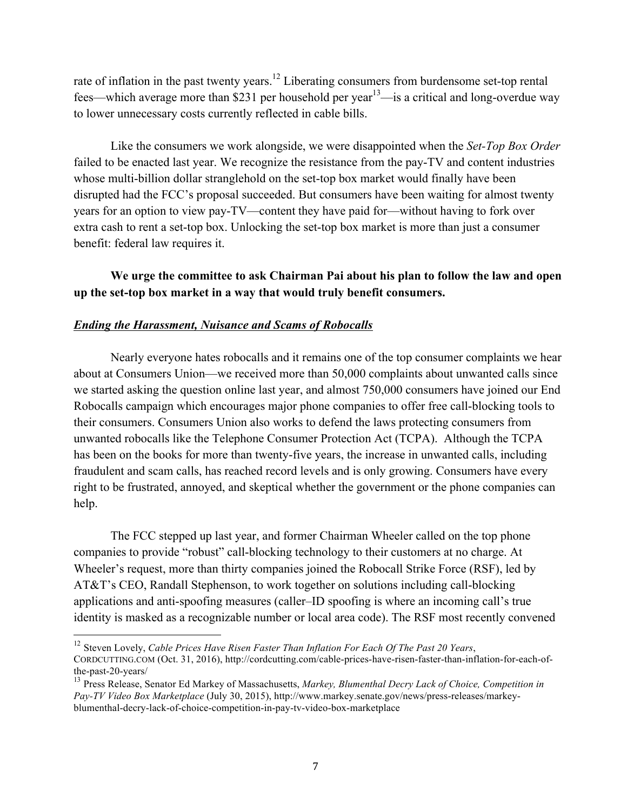rate of inflation in the past twenty years.<sup>12</sup> Liberating consumers from burdensome set-top rental fees—which average more than \$231 per household per year<sup>13</sup>—is a critical and long-overdue way to lower unnecessary costs currently reflected in cable bills.

Like the consumers we work alongside, we were disappointed when the *Set-Top Box Order* failed to be enacted last year. We recognize the resistance from the pay-TV and content industries whose multi-billion dollar stranglehold on the set-top box market would finally have been disrupted had the FCC's proposal succeeded. But consumers have been waiting for almost twenty years for an option to view pay-TV—content they have paid for—without having to fork over extra cash to rent a set-top box. Unlocking the set-top box market is more than just a consumer benefit: federal law requires it.

## **We urge the committee to ask Chairman Pai about his plan to follow the law and open up the set-top box market in a way that would truly benefit consumers.**

### *Ending the Harassment, Nuisance and Scams of Robocalls*

 Nearly everyone hates robocalls and it remains one of the top consumer complaints we hear about at Consumers Union—we received more than 50,000 complaints about unwanted calls since we started asking the question online last year, and almost 750,000 consumers have joined our End Robocalls campaign which encourages major phone companies to offer free call-blocking tools to their consumers. Consumers Union also works to defend the laws protecting consumers from unwanted robocalls like the Telephone Consumer Protection Act (TCPA). Although the TCPA has been on the books for more than twenty-five years, the increase in unwanted calls, including fraudulent and scam calls, has reached record levels and is only growing. Consumers have every right to be frustrated, annoyed, and skeptical whether the government or the phone companies can help.

 The FCC stepped up last year, and former Chairman Wheeler called on the top phone companies to provide "robust" call-blocking technology to their customers at no charge. At Wheeler's request, more than thirty companies joined the Robocall Strike Force (RSF), led by AT&T's CEO, Randall Stephenson, to work together on solutions including call-blocking applications and anti-spoofing measures (caller–ID spoofing is where an incoming call's true identity is masked as a recognizable number or local area code). The RSF most recently convened

<sup>12</sup> Steven Lovely, *Cable Prices Have Risen Faster Than Inflation For Each Of The Past 20 Years*,

 

CORDCUTTING.COM (Oct. 31, 2016), http://cordcutting.com/cable-prices-have-risen-faster-than-inflation-for-each-ofthe-past-20-years/

<sup>13</sup> Press Release, Senator Ed Markey of Massachusetts, *Markey, Blumenthal Decry Lack of Choice, Competition in Pay-TV Video Box Marketplace* (July 30, 2015), http://www.markey.senate.gov/news/press-releases/markeyblumenthal-decry-lack-of-choice-competition-in-pay-tv-video-box-marketplace